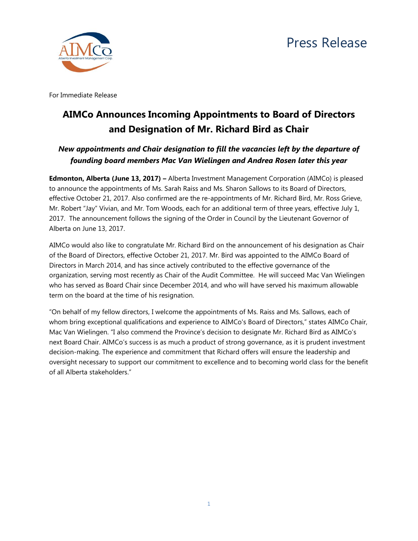

For Immediate Release

# **AIMCo Announces Incoming Appointments to Board of Directors and Designation of Mr. Richard Bird as Chair**

## *New appointments and Chair designation to fill the vacancies left by the departure of founding board members Mac Van Wielingen and Andrea Rosen later this year*

**Edmonton, Alberta (June 13, 2017) –** Alberta Investment Management Corporation (AIMCo) is pleased to announce the appointments of Ms. Sarah Raiss and Ms. Sharon Sallows to its Board of Directors, effective October 21, 2017. Also confirmed are the re-appointments of Mr. Richard Bird, Mr. Ross Grieve, Mr. Robert "Jay" Vivian, and Mr. Tom Woods, each for an additional term of three years, effective July 1, 2017. The announcement follows the signing of the Order in Council by the Lieutenant Governor of Alberta on June 13, 2017.

AIMCo would also like to congratulate Mr. Richard Bird on the announcement of his designation as Chair of the Board of Directors, effective October 21, 2017. Mr. Bird was appointed to the AIMCo Board of Directors in March 2014, and has since actively contributed to the effective governance of the organization, serving most recently as Chair of the Audit Committee. He will succeed Mac Van Wielingen who has served as Board Chair since December 2014, and who will have served his maximum allowable term on the board at the time of his resignation.

"On behalf of my fellow directors, I welcome the appointments of Ms. Raiss and Ms. Sallows, each of whom bring exceptional qualifications and experience to AIMCo's Board of Directors," states AIMCo Chair, Mac Van Wielingen. "I also commend the Province's decision to designate Mr. Richard Bird as AIMCo's next Board Chair. AIMCo's success is as much a product of strong governance, as it is prudent investment decision-making. The experience and commitment that Richard offers will ensure the leadership and oversight necessary to support our commitment to excellence and to becoming world class for the benefit of all Alberta stakeholders."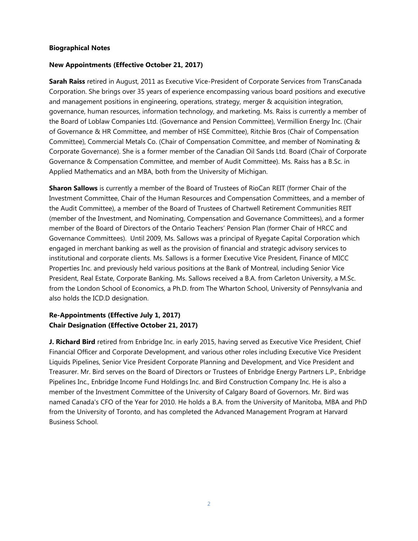### **Biographical Notes**

### **New Appointments (Effective October 21, 2017)**

**Sarah Raiss** retired in August, 2011 as Executive Vice-President of Corporate Services from TransCanada Corporation. She brings over 35 years of experience encompassing various board positions and executive and management positions in engineering, operations, strategy, merger & acquisition integration, governance, human resources, information technology, and marketing. Ms. Raiss is currently a member of the Board of Loblaw Companies Ltd. (Governance and Pension Committee), Vermillion Energy Inc. (Chair of Governance & HR Committee, and member of HSE Committee), Ritchie Bros (Chair of Compensation Committee), Commercial Metals Co. (Chair of Compensation Committee, and member of Nominating & Corporate Governance). She is a former member of the Canadian Oil Sands Ltd. Board (Chair of Corporate Governance & Compensation Committee, and member of Audit Committee). Ms. Raiss has a B.Sc. in Applied Mathematics and an MBA, both from the University of Michigan.

**Sharon Sallows** is currently a member of the Board of Trustees of RioCan REIT (former Chair of the Investment Committee, Chair of the Human Resources and Compensation Committees, and a member of the Audit Committee), a member of the Board of Trustees of Chartwell Retirement Communities REIT (member of the Investment, and Nominating, Compensation and Governance Committees), and a former member of the Board of Directors of the Ontario Teachers' Pension Plan (former Chair of HRCC and Governance Committees). Until 2009, Ms. Sallows was a principal of Ryegate Capital Corporation which engaged in merchant banking as well as the provision of financial and strategic advisory services to institutional and corporate clients. Ms. Sallows is a former Executive Vice President, Finance of MICC Properties Inc. and previously held various positions at the Bank of Montreal, including Senior Vice President, Real Estate, Corporate Banking. Ms. Sallows received a B.A. from Carleton University, a M.Sc. from the London School of Economics, a Ph.D. from The Wharton School, University of Pennsylvania and also holds the ICD.D designation.

## **Re-Appointments (Effective July 1, 2017) Chair Designation (Effective October 21, 2017)**

**J. Richard Bird** retired from Enbridge Inc. in early 2015, having served as Executive Vice President, Chief Financial Officer and Corporate Development, and various other roles including Executive Vice President Liquids Pipelines, Senior Vice President Corporate Planning and Development, and Vice President and Treasurer. Mr. Bird serves on the Board of Directors or Trustees of Enbridge Energy Partners L.P., Enbridge Pipelines Inc., Enbridge Income Fund Holdings Inc. and Bird Construction Company Inc. He is also a member of the Investment Committee of the University of Calgary Board of Governors. Mr. Bird was named Canada's CFO of the Year for 2010. He holds a B.A. from the University of Manitoba, MBA and PhD from the University of Toronto, and has completed the Advanced Management Program at Harvard Business School.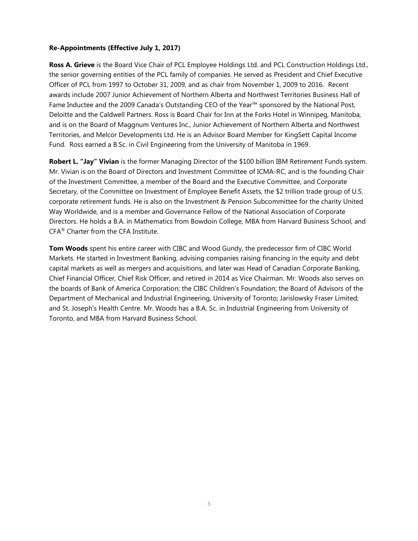## **Re-Appointments (Effective July 1, 2017)**

**Ross A. Grieve** is the Board Vice Chair of PCL Employee Holdings Ltd. and PCL Construction Holdings Ltd., the senior governing entities of the PCL family of companies. He served as President and Chief Executive Officer of PCL from 1997 to October 31, 2009, and as chair from November 1, 2009 to 2016. Recent awards include 2007 Junior Achievement of Northern Alberta and Northwest Territories Business Hall of Fame Inductee and the 2009 Canada's Outstanding CEO of the Year™ sponsored by the National Post, Deloitte and the Caldwell Partners. Ross is Board Chair for Inn at the Forks Hotel in Winnipeg, Manitoba, and is on the Board of Maggnum Ventures Inc., Junior Achievement of Northern Alberta and Northwest Territories, and Melcor Developments Ltd. He is an Advisor Board Member for KingSett Capital Income Fund. Ross earned a B.Sc. in Civil Engineering from the University of Manitoba in 1969.

**Robert L. "Jay" Vivian** is the former Managing Director of the \$100 billion IBM Retirement Funds system. Mr. Vivian is on the Board of Directors and Investment Committee of ICMA-RC, and is the founding Chair of the Investment Committee, a member of the Board and the Executive Committee, and Corporate Secretary, of the Committee on Investment of Employee Benefit Assets, the \$2 trillion trade group of U.S. corporate retirement funds. He is also on the Investment & Pension Subcommittee for the charity United Way Worldwide, and is a member and Governance Fellow of the National Association of Corporate Directors. He holds a B.A. in Mathematics from Bowdoin College, MBA from Harvard Business School, and CFA® Charter from the CFA Institute.

**Tom Woods** spent his entire career with CIBC and Wood Gundy, the predecessor firm of CIBC World Markets. He started in Investment Banking, advising companies raising financing in the equity and debt capital markets as well as mergers and acquisitions, and later was Head of Canadian Corporate Banking, Chief Financial Officer, Chief Risk Officer, and retired in 2014 as Vice Chairman. Mr. Woods also serves on the boards of Bank of America Corporation; the CIBC Children's Foundation; the Board of Advisors of the Department of Mechanical and Industrial Engineering, University of Toronto; Jarislowsky Fraser Limited; and St. Joseph's Health Centre. Mr. Woods has a B.A. Sc. in Industrial Engineering from University of Toronto, and MBA from Harvard Business School.